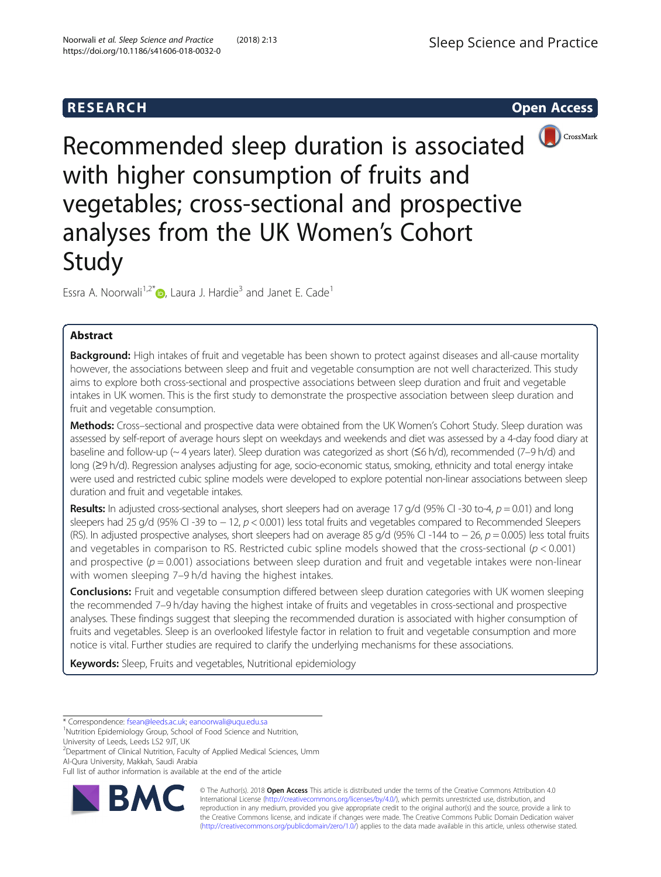# **RESEARCH CHEAR CHEAR CHEAR CHEAR CHEAR CHEAR CHEAR CHEAR CHEAR CHEAR CHEAR CHEAR CHEAR CHEAR CHEAR CHEAR CHEAR**



Recommended sleep duration is associated with higher consumption of fruits and vegetables; cross-sectional and prospective analyses from the UK Women's Cohort Study

Essra A. Noorwali<sup>1[,](http://orcid.org/0000-0002-8312-402X)2\*</sup> $\bullet$ , Laura J. Hardie<sup>3</sup> and Janet E. Cade<sup>1</sup>

# Abstract

Background: High intakes of fruit and vegetable has been shown to protect against diseases and all-cause mortality however, the associations between sleep and fruit and vegetable consumption are not well characterized. This study aims to explore both cross-sectional and prospective associations between sleep duration and fruit and vegetable intakes in UK women. This is the first study to demonstrate the prospective association between sleep duration and fruit and vegetable consumption.

Methods: Cross-sectional and prospective data were obtained from the UK Women's Cohort Study. Sleep duration was assessed by self-report of average hours slept on weekdays and weekends and diet was assessed by a 4-day food diary at baseline and follow-up (~ 4 years later). Sleep duration was categorized as short (≤6 h/d), recommended (7–9 h/d) and long (≥9 h/d). Regression analyses adjusting for age, socio-economic status, smoking, ethnicity and total energy intake were used and restricted cubic spline models were developed to explore potential non-linear associations between sleep duration and fruit and vegetable intakes.

**Results:** In adjusted cross-sectional analyses, short sleepers had on average 17 g/d (95% CI -30 to-4,  $p = 0.01$ ) and long sleepers had 25 g/d (95% CI -39 to − 12, p < 0.001) less total fruits and vegetables compared to Recommended Sleepers (RS). In adjusted prospective analyses, short sleepers had on average 85 g/d (95% CI-144 to − 26, p = 0.005) less total fruits and vegetables in comparison to RS. Restricted cubic spline models showed that the cross-sectional ( $p < 0.001$ ) and prospective ( $p = 0.001$ ) associations between sleep duration and fruit and vegetable intakes were non-linear with women sleeping 7–9 h/d having the highest intakes.

**Conclusions:** Fruit and vegetable consumption differed between sleep duration categories with UK women sleeping the recommended 7–9 h/day having the highest intake of fruits and vegetables in cross-sectional and prospective analyses. These findings suggest that sleeping the recommended duration is associated with higher consumption of fruits and vegetables. Sleep is an overlooked lifestyle factor in relation to fruit and vegetable consumption and more notice is vital. Further studies are required to clarify the underlying mechanisms for these associations.

Keywords: Sleep, Fruits and vegetables, Nutritional epidemiology

\* Correspondence: [fsean@leeds.ac.uk](mailto:fsean@leeds.ac.uk); [eanoorwali@uqu.edu.sa](mailto:eanoorwali@uqu.edu.sa) <sup>1</sup>

Nutrition Epidemiology Group, School of Food Science and Nutrition,

University of Leeds, Leeds LS2 9JT, UK

<sup>2</sup>Department of Clinical Nutrition, Faculty of Applied Medical Sciences, Umm Al-Qura University, Makkah, Saudi Arabia

Full list of author information is available at the end of the article



© The Author(s). 2018 Open Access This article is distributed under the terms of the Creative Commons Attribution 4.0 International License [\(http://creativecommons.org/licenses/by/4.0/](http://creativecommons.org/licenses/by/4.0/)), which permits unrestricted use, distribution, and reproduction in any medium, provided you give appropriate credit to the original author(s) and the source, provide a link to the Creative Commons license, and indicate if changes were made. The Creative Commons Public Domain Dedication waiver [\(http://creativecommons.org/publicdomain/zero/1.0/](http://creativecommons.org/publicdomain/zero/1.0/)) applies to the data made available in this article, unless otherwise stated.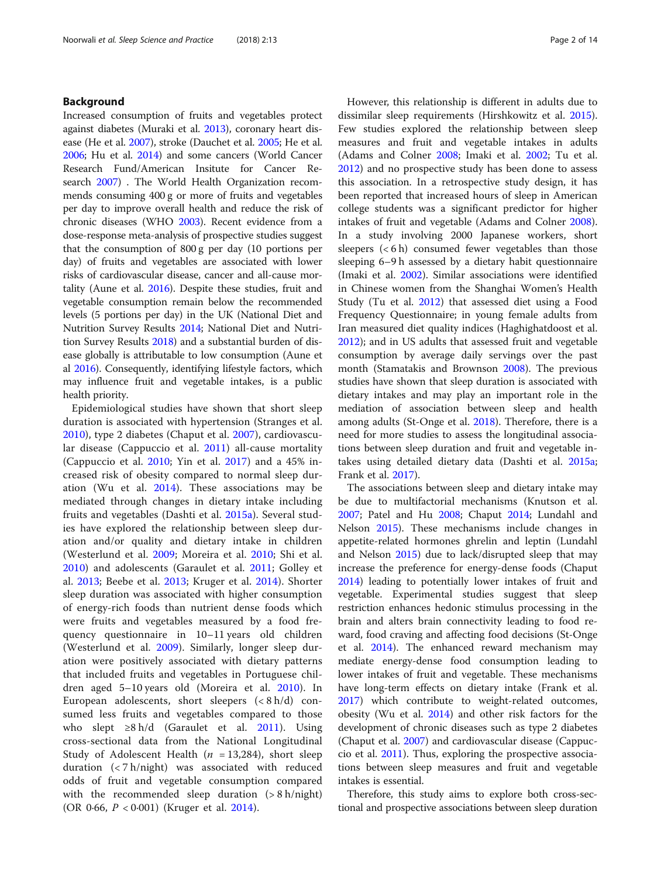# Background

Increased consumption of fruits and vegetables protect against diabetes (Muraki et al. [2013](#page-13-0)), coronary heart disease (He et al. [2007](#page-12-0)), stroke (Dauchet et al. [2005;](#page-12-0) He et al. [2006;](#page-12-0) Hu et al. [2014](#page-12-0)) and some cancers (World Cancer Research Fund/American Insitute for Cancer Research [2007](#page-13-0)) . The World Health Organization recommends consuming 400 g or more of fruits and vegetables per day to improve overall health and reduce the risk of chronic diseases (WHO [2003](#page-13-0)). Recent evidence from a dose-response meta-analysis of prospective studies suggest that the consumption of 800 g per day (10 portions per day) of fruits and vegetables are associated with lower risks of cardiovascular disease, cancer and all-cause mortality (Aune et al. [2016\)](#page-12-0). Despite these studies, fruit and vegetable consumption remain below the recommended levels (5 portions per day) in the UK (National Diet and Nutrition Survey Results [2014](#page-13-0); National Diet and Nutrition Survey Results [2018](#page-13-0)) and a substantial burden of disease globally is attributable to low consumption (Aune et al [2016](#page-12-0)). Consequently, identifying lifestyle factors, which may influence fruit and vegetable intakes, is a public health priority.

Epidemiological studies have shown that short sleep duration is associated with hypertension (Stranges et al. [2010\)](#page-13-0), type 2 diabetes (Chaput et al. [2007\)](#page-12-0), cardiovascular disease (Cappuccio et al. [2011](#page-12-0)) all-cause mortality (Cappuccio et al.  $2010$ ; Yin et al.  $2017$ ) and a 45% increased risk of obesity compared to normal sleep duration (Wu et al. [2014\)](#page-13-0). These associations may be mediated through changes in dietary intake including fruits and vegetables (Dashti et al. [2015a\)](#page-12-0). Several studies have explored the relationship between sleep duration and/or quality and dietary intake in children (Westerlund et al. [2009;](#page-13-0) Moreira et al. [2010](#page-13-0); Shi et al. [2010\)](#page-13-0) and adolescents (Garaulet et al. [2011](#page-12-0); Golley et al. [2013;](#page-12-0) Beebe et al. [2013;](#page-12-0) Kruger et al. [2014\)](#page-12-0). Shorter sleep duration was associated with higher consumption of energy-rich foods than nutrient dense foods which were fruits and vegetables measured by a food frequency questionnaire in 10–11 years old children (Westerlund et al. [2009\)](#page-13-0). Similarly, longer sleep duration were positively associated with dietary patterns that included fruits and vegetables in Portuguese children aged 5–10 years old (Moreira et al. [2010\)](#page-13-0). In European adolescents, short sleepers (< 8 h/d) consumed less fruits and vegetables compared to those who slept  $\geq 8$  h/d (Garaulet et al. [2011\)](#page-12-0). Using cross-sectional data from the National Longitudinal Study of Adolescent Health ( $n = 13,284$ ), short sleep duration (< 7 h/night) was associated with reduced odds of fruit and vegetable consumption compared with the recommended sleep duration (> 8 h/night) (OR 0·66, P < 0·001) (Kruger et al. [2014](#page-12-0)).

However, this relationship is different in adults due to dissimilar sleep requirements (Hirshkowitz et al. [2015](#page-12-0)). Few studies explored the relationship between sleep measures and fruit and vegetable intakes in adults (Adams and Colner [2008](#page-11-0); Imaki et al. [2002;](#page-12-0) Tu et al. [2012](#page-13-0)) and no prospective study has been done to assess this association. In a retrospective study design, it has been reported that increased hours of sleep in American college students was a significant predictor for higher intakes of fruit and vegetable (Adams and Colner [2008](#page-11-0)). In a study involving 2000 Japanese workers, short sleepers  $(< 6 h)$  consumed fewer vegetables than those sleeping 6–9 h assessed by a dietary habit questionnaire (Imaki et al. [2002\)](#page-12-0). Similar associations were identified in Chinese women from the Shanghai Women's Health Study (Tu et al. [2012](#page-13-0)) that assessed diet using a Food Frequency Questionnaire; in young female adults from Iran measured diet quality indices (Haghighatdoost et al. [2012](#page-12-0)); and in US adults that assessed fruit and vegetable consumption by average daily servings over the past month (Stamatakis and Brownson [2008](#page-13-0)). The previous studies have shown that sleep duration is associated with dietary intakes and may play an important role in the mediation of association between sleep and health among adults (St-Onge et al. [2018](#page-13-0)). Therefore, there is a need for more studies to assess the longitudinal associations between sleep duration and fruit and vegetable intakes using detailed dietary data (Dashti et al. [2015a](#page-12-0); Frank et al. [2017](#page-12-0)).

The associations between sleep and dietary intake may be due to multifactorial mechanisms (Knutson et al. [2007](#page-12-0); Patel and Hu [2008;](#page-13-0) Chaput [2014](#page-12-0); Lundahl and Nelson [2015\)](#page-13-0). These mechanisms include changes in appetite-related hormones ghrelin and leptin (Lundahl and Nelson [2015](#page-13-0)) due to lack/disrupted sleep that may increase the preference for energy-dense foods (Chaput [2014](#page-12-0)) leading to potentially lower intakes of fruit and vegetable. Experimental studies suggest that sleep restriction enhances hedonic stimulus processing in the brain and alters brain connectivity leading to food reward, food craving and affecting food decisions (St-Onge et al. [2014\)](#page-13-0). The enhanced reward mechanism may mediate energy-dense food consumption leading to lower intakes of fruit and vegetable. These mechanisms have long-term effects on dietary intake (Frank et al. [2017](#page-12-0)) which contribute to weight-related outcomes, obesity (Wu et al. [2014\)](#page-13-0) and other risk factors for the development of chronic diseases such as type 2 diabetes (Chaput et al. [2007](#page-12-0)) and cardiovascular disease (Cappuccio et al. [2011](#page-12-0)). Thus, exploring the prospective associations between sleep measures and fruit and vegetable intakes is essential.

Therefore, this study aims to explore both cross-sectional and prospective associations between sleep duration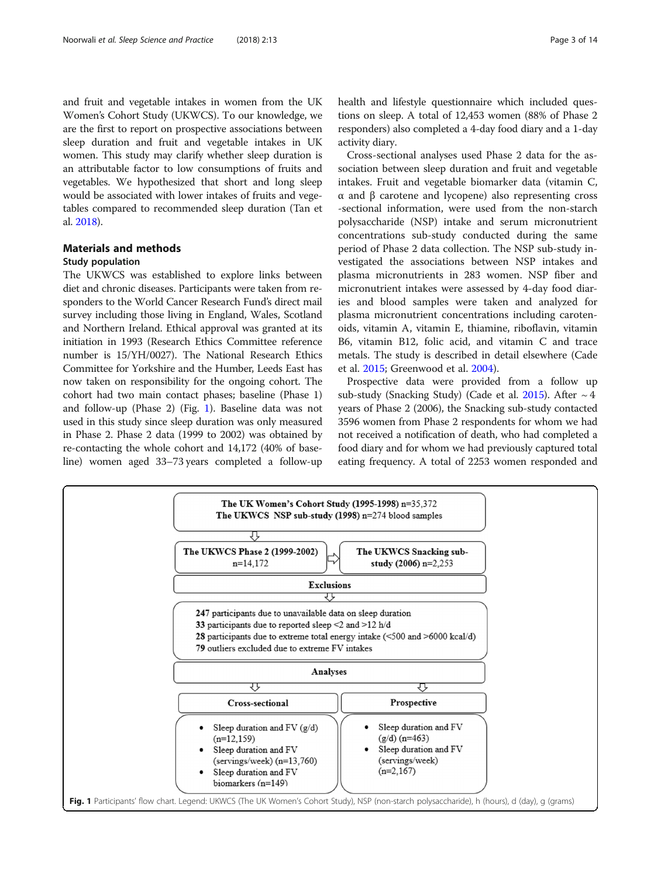<span id="page-2-0"></span>and fruit and vegetable intakes in women from the UK Women's Cohort Study (UKWCS). To our knowledge, we are the first to report on prospective associations between sleep duration and fruit and vegetable intakes in UK women. This study may clarify whether sleep duration is an attributable factor to low consumptions of fruits and vegetables. We hypothesized that short and long sleep would be associated with lower intakes of fruits and vegetables compared to recommended sleep duration (Tan et al. [2018](#page-13-0)).

# Materials and methods

# Study population

The UKWCS was established to explore links between diet and chronic diseases. Participants were taken from responders to the World Cancer Research Fund's direct mail survey including those living in England, Wales, Scotland and Northern Ireland. Ethical approval was granted at its initiation in 1993 (Research Ethics Committee reference number is 15/YH/0027). The National Research Ethics Committee for Yorkshire and the Humber, Leeds East has now taken on responsibility for the ongoing cohort. The cohort had two main contact phases; baseline (Phase 1) and follow-up (Phase 2) (Fig. 1). Baseline data was not used in this study since sleep duration was only measured in Phase 2. Phase 2 data (1999 to 2002) was obtained by re-contacting the whole cohort and 14,172 (40% of baseline) women aged 33–73 years completed a follow-up health and lifestyle questionnaire which included questions on sleep. A total of 12,453 women (88% of Phase 2 responders) also completed a 4-day food diary and a 1-day activity diary.

Cross-sectional analyses used Phase 2 data for the association between sleep duration and fruit and vegetable intakes. Fruit and vegetable biomarker data (vitamin C, α and β carotene and lycopene) also representing cross -sectional information, were used from the non-starch polysaccharide (NSP) intake and serum micronutrient concentrations sub-study conducted during the same period of Phase 2 data collection. The NSP sub-study investigated the associations between NSP intakes and plasma micronutrients in 283 women. NSP fiber and micronutrient intakes were assessed by 4-day food diaries and blood samples were taken and analyzed for plasma micronutrient concentrations including carotenoids, vitamin A, vitamin E, thiamine, riboflavin, vitamin B6, vitamin B12, folic acid, and vitamin C and trace metals. The study is described in detail elsewhere (Cade et al. [2015;](#page-12-0) Greenwood et al. [2004\)](#page-12-0).

Prospective data were provided from a follow up sub-study (Snacking Study) (Cade et al. [2015](#page-12-0)). After  $\sim$  4 years of Phase 2 (2006), the Snacking sub-study contacted 3596 women from Phase 2 respondents for whom we had not received a notification of death, who had completed a food diary and for whom we had previously captured total eating frequency. A total of 2253 women responded and

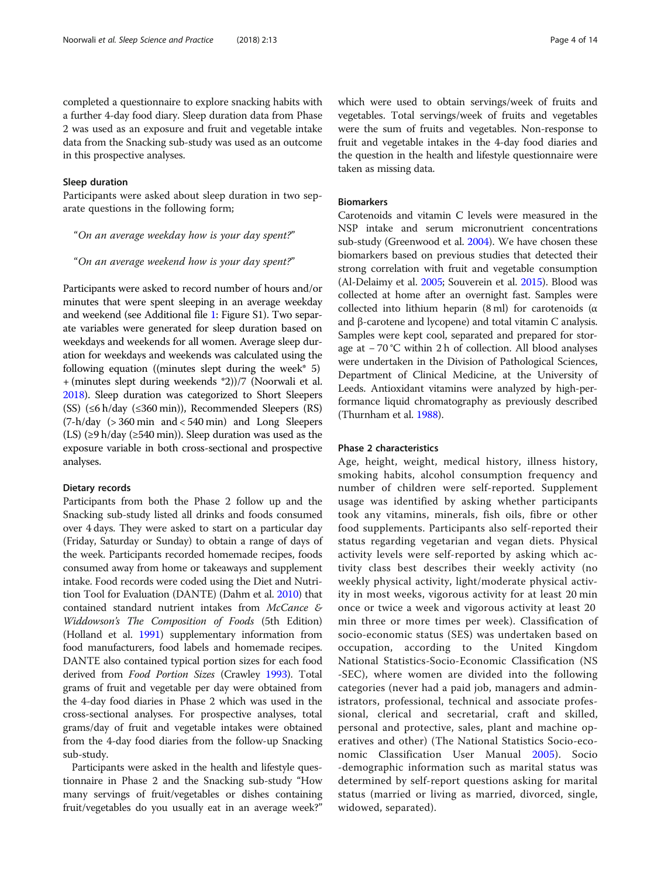completed a questionnaire to explore snacking habits with a further 4-day food diary. Sleep duration data from Phase 2 was used as an exposure and fruit and vegetable intake data from the Snacking sub-study was used as an outcome in this prospective analyses.

# Sleep duration

Participants were asked about sleep duration in two separate questions in the following form;

"On an average weekday how is your day spent?"

"On an average weekend how is your day spent?"

Participants were asked to record number of hours and/or minutes that were spent sleeping in an average weekday and weekend (see Additional file [1:](#page-11-0) Figure S1). Two separate variables were generated for sleep duration based on weekdays and weekends for all women. Average sleep duration for weekdays and weekends was calculated using the following equation ((minutes slept during the week\*  $5$ ) + (minutes slept during weekends \*2))/7 (Noorwali et al. [2018\)](#page-13-0). Sleep duration was categorized to Short Sleepers (SS)  $(\leq 6 \text{ h/day } (\leq 360 \text{ min})$ , Recommended Sleepers (RS) (7-h/day (> 360 min and < 540 min) and Long Sleepers (LS) ( $\geq$ 9 h/day ( $\geq$ 540 min)). Sleep duration was used as the exposure variable in both cross-sectional and prospective analyses.

### Dietary records

Participants from both the Phase 2 follow up and the Snacking sub-study listed all drinks and foods consumed over 4 days. They were asked to start on a particular day (Friday, Saturday or Sunday) to obtain a range of days of the week. Participants recorded homemade recipes, foods consumed away from home or takeaways and supplement intake. Food records were coded using the Diet and Nutrition Tool for Evaluation (DANTE) (Dahm et al. [2010](#page-12-0)) that contained standard nutrient intakes from McCance & Widdowson's The Composition of Foods (5th Edition) (Holland et al. [1991](#page-12-0)) supplementary information from food manufacturers, food labels and homemade recipes. DANTE also contained typical portion sizes for each food derived from Food Portion Sizes (Crawley [1993\)](#page-12-0). Total grams of fruit and vegetable per day were obtained from the 4-day food diaries in Phase 2 which was used in the cross-sectional analyses. For prospective analyses, total grams/day of fruit and vegetable intakes were obtained from the 4-day food diaries from the follow-up Snacking sub-study.

Participants were asked in the health and lifestyle questionnaire in Phase 2 and the Snacking sub-study "How many servings of fruit/vegetables or dishes containing fruit/vegetables do you usually eat in an average week?" which were used to obtain servings/week of fruits and vegetables. Total servings/week of fruits and vegetables were the sum of fruits and vegetables. Non-response to fruit and vegetable intakes in the 4-day food diaries and the question in the health and lifestyle questionnaire were taken as missing data.

# Biomarkers

Carotenoids and vitamin C levels were measured in the NSP intake and serum micronutrient concentrations sub-study (Greenwood et al. [2004\)](#page-12-0). We have chosen these biomarkers based on previous studies that detected their strong correlation with fruit and vegetable consumption (Al-Delaimy et al. [2005;](#page-12-0) Souverein et al. [2015\)](#page-13-0). Blood was collected at home after an overnight fast. Samples were collected into lithium heparin (8 ml) for carotenoids (α and β-carotene and lycopene) and total vitamin C analysis. Samples were kept cool, separated and prepared for storage at − 70 °C within 2 h of collection. All blood analyses were undertaken in the Division of Pathological Sciences, Department of Clinical Medicine, at the University of Leeds. Antioxidant vitamins were analyzed by high-performance liquid chromatography as previously described (Thurnham et al. [1988\)](#page-13-0).

# Phase 2 characteristics

Age, height, weight, medical history, illness history, smoking habits, alcohol consumption frequency and number of children were self-reported. Supplement usage was identified by asking whether participants took any vitamins, minerals, fish oils, fibre or other food supplements. Participants also self-reported their status regarding vegetarian and vegan diets. Physical activity levels were self-reported by asking which activity class best describes their weekly activity (no weekly physical activity, light/moderate physical activity in most weeks, vigorous activity for at least 20 min once or twice a week and vigorous activity at least 20 min three or more times per week). Classification of socio-economic status (SES) was undertaken based on occupation, according to the United Kingdom National Statistics-Socio-Economic Classification (NS -SEC), where women are divided into the following categories (never had a paid job, managers and administrators, professional, technical and associate professional, clerical and secretarial, craft and skilled, personal and protective, sales, plant and machine operatives and other) (The National Statistics Socio-economic Classification User Manual [2005](#page-13-0)). Socio -demographic information such as marital status was determined by self-report questions asking for marital status (married or living as married, divorced, single, widowed, separated).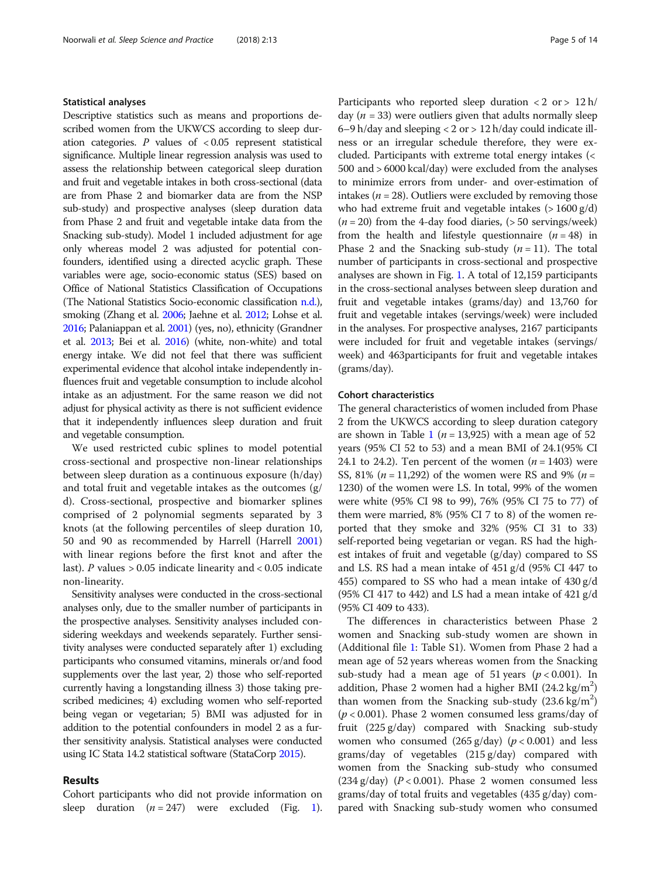# Statistical analyses

Descriptive statistics such as means and proportions described women from the UKWCS according to sleep duration categories. P values of  $< 0.05$  represent statistical significance. Multiple linear regression analysis was used to assess the relationship between categorical sleep duration and fruit and vegetable intakes in both cross-sectional (data are from Phase 2 and biomarker data are from the NSP sub-study) and prospective analyses (sleep duration data from Phase 2 and fruit and vegetable intake data from the Snacking sub-study). Model 1 included adjustment for age only whereas model 2 was adjusted for potential confounders, identified using a directed acyclic graph. These variables were age, socio-economic status (SES) based on Office of National Statistics Classification of Occupations (The National Statistics Socio-economic classification [n.d.](#page-13-0)), smoking (Zhang et al. [2006](#page-13-0); Jaehne et al. [2012](#page-12-0); Lohse et al. [2016;](#page-13-0) Palaniappan et al. [2001](#page-13-0)) (yes, no), ethnicity (Grandner et al. [2013;](#page-12-0) Bei et al. [2016\)](#page-12-0) (white, non-white) and total energy intake. We did not feel that there was sufficient experimental evidence that alcohol intake independently influences fruit and vegetable consumption to include alcohol intake as an adjustment. For the same reason we did not adjust for physical activity as there is not sufficient evidence that it independently influences sleep duration and fruit and vegetable consumption.

We used restricted cubic splines to model potential cross-sectional and prospective non-linear relationships between sleep duration as a continuous exposure (h/day) and total fruit and vegetable intakes as the outcomes (g/ d). Cross-sectional, prospective and biomarker splines comprised of 2 polynomial segments separated by 3 knots (at the following percentiles of sleep duration 10, 50 and 90 as recommended by Harrell (Harrell [2001](#page-12-0)) with linear regions before the first knot and after the last). P values  $> 0.05$  indicate linearity and  $< 0.05$  indicate non-linearity.

Sensitivity analyses were conducted in the cross-sectional analyses only, due to the smaller number of participants in the prospective analyses. Sensitivity analyses included considering weekdays and weekends separately. Further sensitivity analyses were conducted separately after 1) excluding participants who consumed vitamins, minerals or/and food supplements over the last year, 2) those who self-reported currently having a longstanding illness 3) those taking prescribed medicines; 4) excluding women who self-reported being vegan or vegetarian; 5) BMI was adjusted for in addition to the potential confounders in model 2 as a further sensitivity analysis. Statistical analyses were conducted using IC Stata 14.2 statistical software (StataCorp [2015](#page-13-0)).

# Results

Cohort participants who did not provide information on sleep duration  $(n = 247)$  were excluded (Fig. [1](#page-2-0)). Participants who reported sleep duration  $\langle 2 \text{ or } > 12 \text{ h} \rangle$ day ( $n = 33$ ) were outliers given that adults normally sleep 6–9 h/day and sleeping <  $2$  or > 12 h/day could indicate illness or an irregular schedule therefore, they were excluded. Participants with extreme total energy intakes (< 500 and > 6000 kcal/day) were excluded from the analyses to minimize errors from under- and over-estimation of intakes ( $n = 28$ ). Outliers were excluded by removing those who had extreme fruit and vegetable intakes  $(> 1600 \text{ g/d})$  $(n = 20)$  from the 4-day food diaries,  $(> 50$  servings/week) from the health and lifestyle questionnaire  $(n = 48)$  in Phase 2 and the Snacking sub-study  $(n = 11)$ . The total number of participants in cross-sectional and prospective analyses are shown in Fig. [1](#page-2-0). A total of 12,159 participants in the cross-sectional analyses between sleep duration and fruit and vegetable intakes (grams/day) and 13,760 for fruit and vegetable intakes (servings/week) were included in the analyses. For prospective analyses, 2167 participants were included for fruit and vegetable intakes (servings/ week) and 463participants for fruit and vegetable intakes (grams/day).

# Cohort characteristics

The general characteristics of women included from Phase 2 from the UKWCS according to sleep duration category are shown in Table [1](#page-5-0) ( $n = 13,925$ ) with a mean age of 52 years (95% CI 52 to 53) and a mean BMI of 24.1(95% CI 24.1 to 24.2). Ten percent of the women  $(n = 1403)$  were SS, 81% ( $n = 11,292$ ) of the women were RS and 9% ( $n =$ 1230) of the women were LS. In total, 99% of the women were white (95% CI 98 to 99), 76% (95% CI 75 to 77) of them were married, 8% (95% CI 7 to 8) of the women reported that they smoke and 32% (95% CI 31 to 33) self-reported being vegetarian or vegan. RS had the highest intakes of fruit and vegetable (g/day) compared to SS and LS. RS had a mean intake of 451 g/d (95% CI 447 to 455) compared to SS who had a mean intake of 430 g/d (95% CI 417 to 442) and LS had a mean intake of 421  $g/d$ (95% CI 409 to 433).

The differences in characteristics between Phase 2 women and Snacking sub-study women are shown in (Additional file [1](#page-11-0): Table S1). Women from Phase 2 had a mean age of 52 years whereas women from the Snacking sub-study had a mean age of 51 years ( $p < 0.001$ ). In addition, Phase 2 women had a higher BMI  $(24.2 \text{ kg/m}^2)$ than women from the Snacking sub-study  $(23.6 \text{ kg/m}^2)$  $(p < 0.001)$ . Phase 2 women consumed less grams/day of fruit (225 g/day) compared with Snacking sub-study women who consumed  $(265 \text{ g/day})$   $(p < 0.001)$  and less grams/day of vegetables (215 g/day) compared with women from the Snacking sub-study who consumed  $(234 \text{ g/day})$   $(P < 0.001)$ . Phase 2 women consumed less grams/day of total fruits and vegetables (435 g/day) compared with Snacking sub-study women who consumed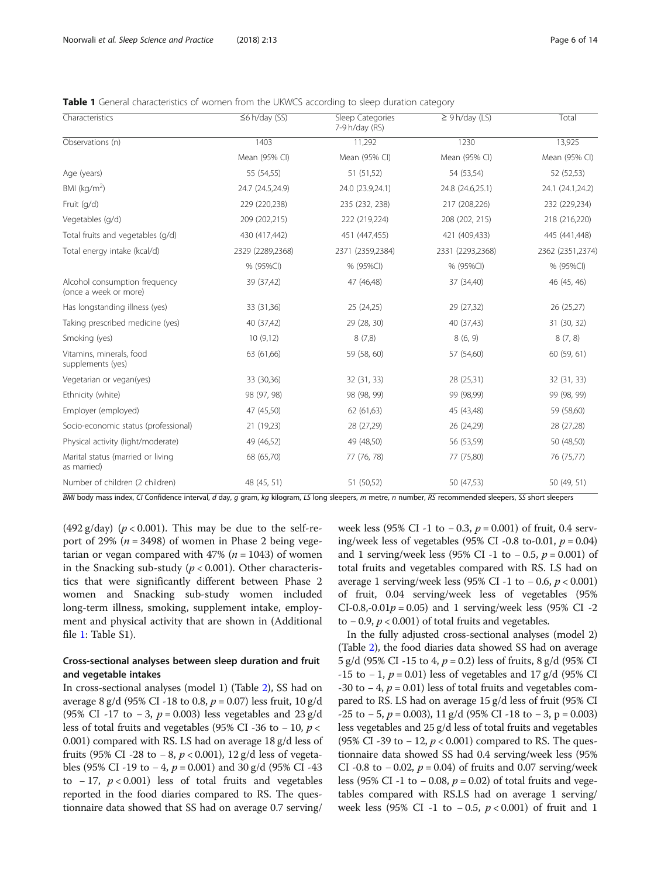<span id="page-5-0"></span>Table 1 General characteristics of women from the UKWCS according to sleep duration category

| 1403<br>Mean (95% CI)<br>55 (54,55)<br>24.7 (24.5,24.9)<br>229 (220,238)<br>209 (202,215)<br>430 (417,442) | 11,292<br>Mean (95% CI)<br>51 (51,52)<br>24.0 (23.9,24.1)<br>235 (232, 238)<br>222 (219,224) | 1230<br>Mean (95% CI)<br>54 (53,54)<br>24.8 (24.6,25.1)<br>217 (208,226)<br>208 (202, 215) | 13,925<br>Mean (95% CI)<br>52 (52,53)<br>24.1 (24.1,24.2)<br>232 (229,234)                                                                               |
|------------------------------------------------------------------------------------------------------------|----------------------------------------------------------------------------------------------|--------------------------------------------------------------------------------------------|----------------------------------------------------------------------------------------------------------------------------------------------------------|
|                                                                                                            |                                                                                              |                                                                                            |                                                                                                                                                          |
|                                                                                                            |                                                                                              |                                                                                            |                                                                                                                                                          |
|                                                                                                            |                                                                                              |                                                                                            |                                                                                                                                                          |
|                                                                                                            |                                                                                              |                                                                                            |                                                                                                                                                          |
|                                                                                                            |                                                                                              |                                                                                            |                                                                                                                                                          |
|                                                                                                            |                                                                                              |                                                                                            | 218 (216,220)                                                                                                                                            |
|                                                                                                            |                                                                                              | 421 (409,433)                                                                              | 445 (441,448)                                                                                                                                            |
| 2329 (2289,2368)                                                                                           | 2371 (2359,2384)                                                                             | 2331 (2293,2368)                                                                           | 2362 (2351,2374)                                                                                                                                         |
| % (95%CI)                                                                                                  | % (95%CI)                                                                                    | % (95%CI)                                                                                  | % (95%CI)                                                                                                                                                |
| 39 (37,42)                                                                                                 | 47 (46,48)                                                                                   | 37 (34,40)                                                                                 | 46 (45, 46)                                                                                                                                              |
| 33 (31,36)                                                                                                 | 25 (24,25)                                                                                   | 29 (27,32)                                                                                 | 26 (25,27)                                                                                                                                               |
| 40 (37,42)                                                                                                 | 29 (28, 30)                                                                                  | 40 (37,43)                                                                                 | 31 (30, 32)                                                                                                                                              |
| 10(9,12)                                                                                                   | 8(7,8)                                                                                       | 8(6, 9)                                                                                    | 8(7, 8)                                                                                                                                                  |
| 63 (61,66)                                                                                                 | 59 (58, 60)                                                                                  | 57 (54,60)                                                                                 | 60 (59, 61)                                                                                                                                              |
| 33 (30,36)                                                                                                 | 32 (31, 33)                                                                                  | 28 (25,31)                                                                                 | 32 (31, 33)                                                                                                                                              |
| 98 (97, 98)                                                                                                | 98 (98, 99)                                                                                  | 99 (98,99)                                                                                 | 99 (98, 99)                                                                                                                                              |
| 47 (45,50)                                                                                                 | 62 (61,63)                                                                                   | 45 (43,48)                                                                                 | 59 (58,60)                                                                                                                                               |
| 21 (19,23)                                                                                                 | 28 (27,29)                                                                                   | 26 (24,29)                                                                                 | 28 (27,28)                                                                                                                                               |
| 49 (46,52)                                                                                                 | 49 (48,50)                                                                                   | 56 (53,59)                                                                                 | 50 (48,50)                                                                                                                                               |
| 68 (65,70)                                                                                                 | 77 (76, 78)                                                                                  | 77 (75,80)                                                                                 | 76 (75,77)                                                                                                                                               |
| 48 (45, 51)                                                                                                | 51 (50,52)                                                                                   | 50 (47,53)                                                                                 | 50 (49, 51)                                                                                                                                              |
|                                                                                                            |                                                                                              | 451 (447,455)                                                                              | BMI body mass index, CI Confidence interval, d day, q gram, kq kilogram, LS long sleepers, m metre, n number, RS recommended sleepers, SS short sleepers |

(492 g/day) ( $p < 0.001$ ). This may be due to the self-report of 29% ( $n = 3498$ ) of women in Phase 2 being vegetarian or vegan compared with 47% ( $n = 1043$ ) of women in the Snacking sub-study ( $p < 0.001$ ). Other characteristics that were significantly different between Phase 2 women and Snacking sub-study women included long-term illness, smoking, supplement intake, employment and physical activity that are shown in (Additional file [1:](#page-11-0) Table S1).

# Cross-sectional analyses between sleep duration and fruit and vegetable intakes

In cross-sectional analyses (model 1) (Table [2](#page-6-0)), SS had on average 8 g/d (95% CI -18 to 0.8,  $p = 0.07$ ) less fruit, 10 g/d (95% CI -17 to -3,  $p = 0.003$ ) less vegetables and 23 g/d less of total fruits and vegetables (95% CI -36 to − 10,  $p$  < 0.001) compared with RS. LS had on average 18 g/d less of fruits (95% CI -28 to −8,  $p$  < 0.001), 12 g/d less of vegetables (95% CI -19 to −4,  $p = 0.001$ ) and 30 g/d (95% CI -43 to  $-17$ ,  $p < 0.001$ ) less of total fruits and vegetables reported in the food diaries compared to RS. The questionnaire data showed that SS had on average 0.7 serving/ week less (95% CI -1 to −0.3,  $p = 0.001$ ) of fruit, 0.4 serving/week less of vegetables (95% CI -0.8 to-0.01,  $p = 0.04$ ) and 1 serving/week less (95% CI -1 to −0.5,  $p = 0.001$ ) of total fruits and vegetables compared with RS. LS had on average 1 serving/week less (95% CI -1 to  $-0.6$ ,  $p < 0.001$ ) of fruit, 0.04 serving/week less of vegetables (95% CI-0.8,-0.01 $p = 0.05$ ) and 1 serving/week less (95% CI-2 to  $-0.9$ ,  $p < 0.001$ ) of total fruits and vegetables.

In the fully adjusted cross-sectional analyses (model 2) (Table [2](#page-6-0)), the food diaries data showed SS had on average 5 g/d (95% CI -15 to 4,  $p = 0.2$ ) less of fruits, 8 g/d (95% CI -15 to  $-1$ ,  $p = 0.01$ ) less of vegetables and 17 g/d (95% CI -30 to  $-4$ ,  $p = 0.01$ ) less of total fruits and vegetables compared to RS. LS had on average 15 g/d less of fruit (95% CI  $-25$  to  $-5$ ,  $p = 0.003$ ), 11 g/d (95% CI -18 to  $-3$ , p = 0.003) less vegetables and 25 g/d less of total fruits and vegetables (95% CI -39 to – 12,  $p < 0.001$ ) compared to RS. The questionnaire data showed SS had 0.4 serving/week less (95% CI -0.8 to  $-0.02$ ,  $p = 0.04$ ) of fruits and 0.07 serving/week less (95% CI -1 to − 0.08,  $p = 0.02$ ) of total fruits and vegetables compared with RS.LS had on average 1 serving/ week less (95% CI -1 to −0.5,  $p$  < 0.001) of fruit and 1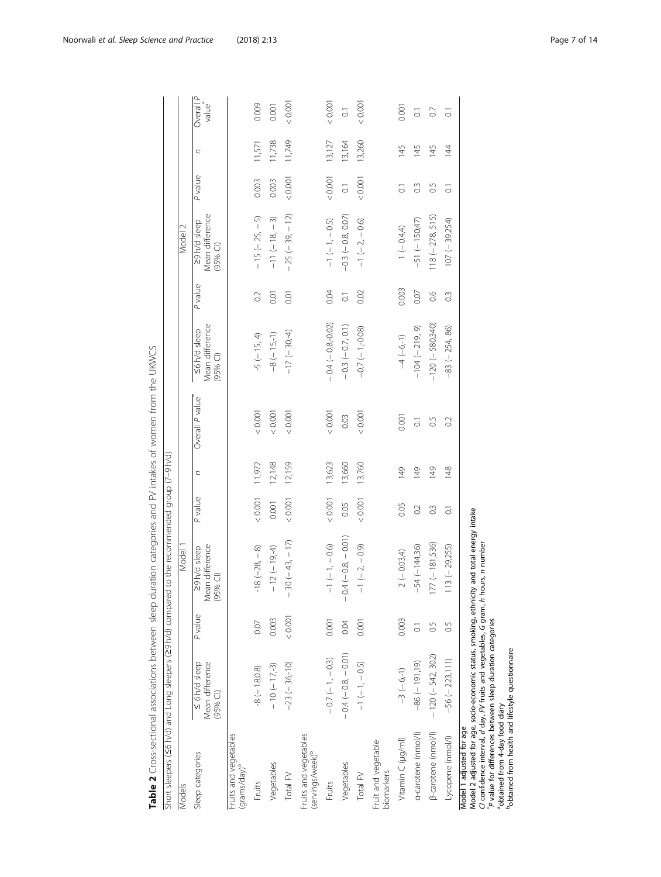<span id="page-6-0"></span>

|                                                            | Short sleepers (S6 h/d) and Long sleepers (29 h/d) compared                                                                                                                                         |                    | to the recommended group (7-9 h/d)                                                          |                |        |                    |                                               |                       |                                              |                    |        |                                 |
|------------------------------------------------------------|-----------------------------------------------------------------------------------------------------------------------------------------------------------------------------------------------------|--------------------|---------------------------------------------------------------------------------------------|----------------|--------|--------------------|-----------------------------------------------|-----------------------|----------------------------------------------|--------------------|--------|---------------------------------|
| Models                                                     |                                                                                                                                                                                                     |                    | Model                                                                                       |                |        |                    |                                               |                       | $\sim$<br>Model                              |                    |        |                                 |
| Sleep categories                                           | Mean difference<br>$\leq 6$ h/d sleep<br>$(95%$ CI)                                                                                                                                                 | P value            | Mean difference<br>29 h/d sleep<br>$(95%$ Cl)                                               | P value        | C      | Overall P value    | Mean difference<br><6 h/d sleep<br>$(95%$ CI) | P value               | Mean difference<br>29h/d sleep<br>$(95%$ CI) | P value            | C      | Overall P<br>walue <sup>*</sup> |
| Fruits and vegetables<br>(grams/day) <sup>a</sup>          |                                                                                                                                                                                                     |                    |                                                                                             |                |        |                    |                                               |                       |                                              |                    |        |                                 |
| Fruits                                                     | $-8(-18,0.8)$                                                                                                                                                                                       | 0.07               | $-18(-28, -8)$                                                                              | $<0.001$       | 11,972 | < 0.001            | $-5 (- 15, 4)$                                | 0.2                   | $-15 (-25, -5)$                              | 0.003              | 11,571 | 0.009                           |
| Vegetables                                                 | $-10(-17,-3)$                                                                                                                                                                                       | 0.003              | $-12(-19,-4)$                                                                               | 0.001          | 12,148 | < 0.001            | $-8 (-15,-1)$                                 | 0.01                  | $-11(-18, -3)$                               | 0.003              | 11,738 | 0.001                           |
| Total FV                                                   | $-23(-36,-10)$                                                                                                                                                                                      | 0.001              | $-30 (-43, -17)$                                                                            | 0.001          | 12,159 | < 0.001            | $-17 (-30,4)$                                 | 0.01                  | $-25(-39, -12)$                              | < 0.001            | 11,749 | < 0.001                         |
| Fruits and vegetables<br>(servings/week)                   |                                                                                                                                                                                                     |                    |                                                                                             |                |        |                    |                                               |                       |                                              |                    |        |                                 |
| Fruits                                                     | $-0.7(-1, -0.3)$                                                                                                                                                                                    | 0.001              | $-1(-1, -0.6)$                                                                              | 0.001          | 13,623 | 0.001              | $-0.4(-0.8,-0.02)$                            | 0.04                  | $-1(-1, -0.5)$                               | 0.001              | 13,127 | < 0.001                         |
| Vegetables                                                 | $-0.4(-0.8, -0.01)$                                                                                                                                                                                 | 0.04               | $-0.4(-0.8, -0.01)$                                                                         | 0.05           | 13,660 | 0.03               | $-0.3(-0.7, 0.1)$                             | $\overline{\text{o}}$ | $-0.3 (-0.8, 0.07)$                          | $\overline{0}$     | 13,164 | $\overline{0}$                  |
| Total FV                                                   | $-1$ (-1, -0.5)                                                                                                                                                                                     | 0.001              | $-1(-2, -0.9)$                                                                              | 0.001          | 13,760 | < 0.001            | $-0.7 (-1, 0.08)$                             | 0.02                  | $-1(-2, -0.6)$                               | 0.001              | 13,260 | < 0.001                         |
| Fruit and vegetable<br>biomarkers                          |                                                                                                                                                                                                     |                    |                                                                                             |                |        |                    |                                               |                       |                                              |                    |        |                                 |
| Vitamin C (µg/ml)                                          | $-3(-6,1)$                                                                                                                                                                                          | 0.003              | $2(-0.03,4)$                                                                                | 0.05           | 149    | 0.001              | $-4(-6,-1)$                                   | 0.003                 | $1(-0.4,4)$                                  | $\overline{\circ}$ | 145    | 0.001                           |
| a-carotene (nmol/l)                                        | $-86(-191,19)$                                                                                                                                                                                      | $\overline{\circ}$ | $-54 (-144,36)$                                                                             | 0.2            | 149    | $\overline{\circ}$ | $-104 (-219, 9)$                              | 0.07                  | $-51 (-150,47)$                              | $\degree$          | 145    | $\overline{\circ}$              |
| [B-carotene (nmol/l)                                       | $-120 (-542, 302)$                                                                                                                                                                                  | C.G                | $77 (-181,536)$                                                                             | $\frac{3}{2}$  | 149    | $\overline{0}$     | $-120 (-580,340)$                             | 0.6                   | $118 (-278, 515)$                            | $\frac{5}{2}$      | 145    | $\circ$                         |
| Lycopene (nmol/l)                                          | $-56 (-223, 111)$                                                                                                                                                                                   | C.G                | $113 (-29,255)$                                                                             | $\overline{C}$ | 148    | $\sim$             | $-83 (-254, 86)$                              | $\frac{3}{2}$         | $107 (-39,254)$                              | $\overline{0}$     | 144    | $\overline{C}$                  |
| obtained from 4-day food diary<br>Model 1 adjusted for age | CI confidence interval, d day, FV fruits and vegetables, G gram, h hours, n number<br>P value for differences between sleep duration categories<br>obtained from health and lifestyle questionnaire |                    | Model 2 adjusted for age, socio-economic status, smoking, ethnicity and total energy intake |                |        |                    |                                               |                       |                                              |                    |        |                                 |

Table 2 Cross-sectional associations between sleep duration categories and FV intakes of women from the UKWCS Table 2 Cross-sectional associations between sleep duration categories and FV intakes of women from the UKWCS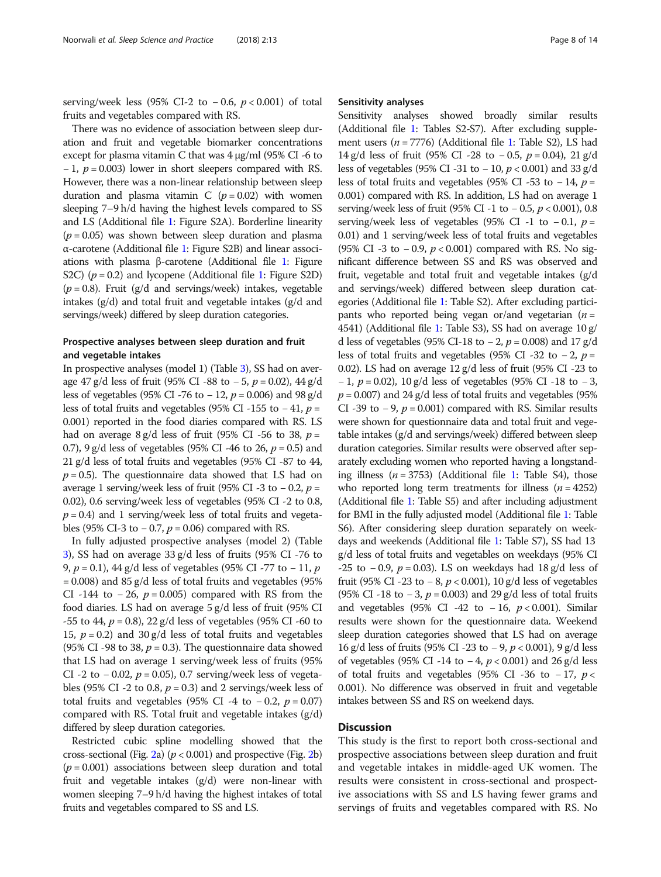serving/week less (95% CI-2 to  $-0.6$ ,  $p < 0.001$ ) of total fruits and vegetables compared with RS.

There was no evidence of association between sleep duration and fruit and vegetable biomarker concentrations except for plasma vitamin C that was 4 μg/ml (95% CI -6 to  $-1$ ,  $p = 0.003$ ) lower in short sleepers compared with RS. However, there was a non-linear relationship between sleep duration and plasma vitamin C ( $p = 0.02$ ) with women sleeping 7–9 h/d having the highest levels compared to SS and LS (Additional file [1](#page-11-0): Figure S2A). Borderline linearity  $(p = 0.05)$  was shown between sleep duration and plasma α-carotene (Additional file [1](#page-11-0): Figure S2B) and linear associations with plasma β-carotene (Additional file [1:](#page-11-0) Figure S2C)  $(p = 0.2)$  and lycopene (Additional file [1](#page-11-0): Figure S2D)  $(p = 0.8)$ . Fruit (g/d and servings/week) intakes, vegetable intakes (g/d) and total fruit and vegetable intakes (g/d and servings/week) differed by sleep duration categories.

# Prospective analyses between sleep duration and fruit and vegetable intakes

In prospective analyses (model 1) (Table [3](#page-8-0)), SS had on average 47 g/d less of fruit (95% CI -88 to  $-5$ ,  $p = 0.02$ ), 44 g/d less of vegetables (95% CI -76 to − 12,  $p = 0.006$ ) and 98 g/d less of total fruits and vegetables (95% CI -155 to  $-41$ ,  $p =$ 0.001) reported in the food diaries compared with RS. LS had on average 8 g/d less of fruit (95% CI -56 to 38,  $p =$ 0.7), 9 g/d less of vegetables (95% CI -46 to 26,  $p = 0.5$ ) and 21 g/d less of total fruits and vegetables (95% CI -87 to 44,  $p = 0.5$ ). The questionnaire data showed that LS had on average 1 serving/week less of fruit (95% CI -3 to - 0.2,  $p =$ 0.02), 0.6 serving/week less of vegetables (95% CI -2 to 0.8,  $p = 0.4$ ) and 1 serving/week less of total fruits and vegetables (95% CI-3 to − 0.7,  $p = 0.06$ ) compared with RS.

In fully adjusted prospective analyses (model 2) (Table [3\)](#page-8-0), SS had on average 33 g/d less of fruits (95% CI -76 to 9, *p* = 0.1), 44 g/d less of vegetables (95% CI -77 to − 11, *p*  $= 0.008$ ) and 85 g/d less of total fruits and vegetables (95%) CI -144 to  $-26$ ,  $p = 0.005$ ) compared with RS from the food diaries. LS had on average 5 g/d less of fruit (95% CI  $-55$  to 44,  $p = 0.8$ ), 22 g/d less of vegetables (95% CI -60 to 15,  $p = 0.2$ ) and 30 g/d less of total fruits and vegetables (95% CI -98 to 38,  $p = 0.3$ ). The questionnaire data showed that LS had on average 1 serving/week less of fruits (95% CI -2 to  $-0.02$ ,  $p = 0.05$ ), 0.7 serving/week less of vegetables (95% CI -2 to 0.8,  $p = 0.3$ ) and 2 servings/week less of total fruits and vegetables (95% CI -4 to −0.2,  $p = 0.07$ ) compared with RS. Total fruit and vegetable intakes  $(g/d)$ differed by sleep duration categories.

Restricted cubic spline modelling showed that the cross-sectional (Fig. [2a](#page-9-0))  $(p < 0.001)$  and prospective (Fig. [2](#page-9-0)b)  $(p = 0.001)$  associations between sleep duration and total fruit and vegetable intakes (g/d) were non-linear with women sleeping 7–9 h/d having the highest intakes of total fruits and vegetables compared to SS and LS.

## Sensitivity analyses

Sensitivity analyses showed broadly similar results (Additional file [1:](#page-11-0) Tables S2-S7). After excluding supplement users ( $n = 7776$ ) (Additional file [1](#page-11-0): Table S2), LS had 14 g/d less of fruit (95% CI -28 to − 0.5, p = 0.04), 21 g/d less of vegetables (95% CI -31 to − 10,  $p$  < 0.001) and 33 g/d less of total fruits and vegetables (95% CI -53 to - 14,  $p =$ 0.001) compared with RS. In addition, LS had on average 1 serving/week less of fruit (95% CI -1 to  $-0.5$ ,  $p < 0.001$ ), 0.8 serving/week less of vegetables (95% CI -1 to -0.1,  $p =$ 0.01) and 1 serving/week less of total fruits and vegetables (95% CI -3 to -0.9,  $p < 0.001$ ) compared with RS. No significant difference between SS and RS was observed and fruit, vegetable and total fruit and vegetable intakes (g/d and servings/week) differed between sleep duration categories (Additional file [1](#page-11-0): Table S2). After excluding participants who reported being vegan or/and vegetarian  $(n =$ 4541) (Additional file [1:](#page-11-0) Table S3), SS had on average 10 g/ d less of vegetables (95% CI-18 to −2,  $p = 0.008$ ) and 17 g/d less of total fruits and vegetables (95% CI -32 to −2,  $p =$ 0.02). LS had on average 12 g/d less of fruit (95% CI -23 to  $-1$ ,  $p = 0.02$ ), 10 g/d less of vegetables (95% CI -18 to  $-3$ ,  $p = 0.007$ ) and 24 g/d less of total fruits and vegetables (95%) CI -39 to  $-9$ ,  $p = 0.001$ ) compared with RS. Similar results were shown for questionnaire data and total fruit and vegetable intakes (g/d and servings/week) differed between sleep duration categories. Similar results were observed after separately excluding women who reported having a longstanding illness  $(n = 3753)$  (Additional file [1](#page-11-0): Table S4), those who reported long term treatments for illness  $(n = 4252)$ (Additional file [1:](#page-11-0) Table S5) and after including adjustment for BMI in the fully adjusted model (Additional file [1:](#page-11-0) Table S6). After considering sleep duration separately on weekdays and weekends (Additional file [1](#page-11-0): Table S7), SS had 13 g/d less of total fruits and vegetables on weekdays (95% CI -25 to -0.9,  $p = 0.03$ ). LS on weekdays had 18 g/d less of fruit (95% CI -23 to  $-8$ ,  $p < 0.001$ ), 10 g/d less of vegetables (95% CI -18 to - 3,  $p = 0.003$ ) and 29 g/d less of total fruits and vegetables (95% CI -42 to -16,  $p < 0.001$ ). Similar results were shown for the questionnaire data. Weekend sleep duration categories showed that LS had on average 16 g/d less of fruits (95% CI -23 to − 9, p < 0.001), 9 g/d less of vegetables (95% CI -14 to −4,  $p$  < 0.001) and 26 g/d less of total fruits and vegetables (95% CI -36 to -17,  $p <$ 0.001). No difference was observed in fruit and vegetable intakes between SS and RS on weekend days.

# **Discussion**

This study is the first to report both cross-sectional and prospective associations between sleep duration and fruit and vegetable intakes in middle-aged UK women. The results were consistent in cross-sectional and prospective associations with SS and LS having fewer grams and servings of fruits and vegetables compared with RS. No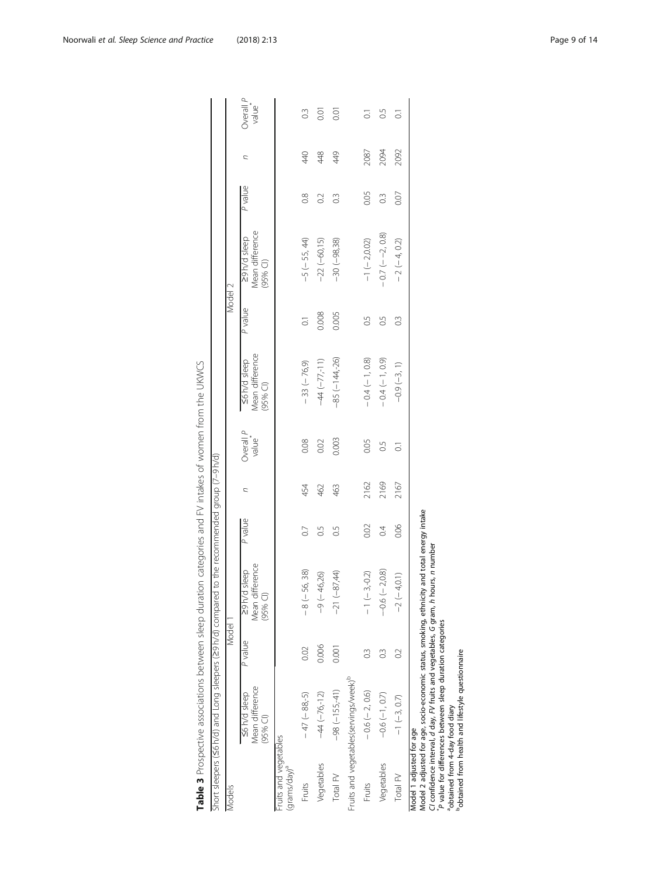<span id="page-8-0"></span>

|                                                   |                                                     |               | Short sleepers (S6 h/d) and Long sleepers (29 h/d) compared to the recommended group (7-9 h/d)                                                                                    |                  |      |                    |                                              |                    |                                               |               |      |                      |
|---------------------------------------------------|-----------------------------------------------------|---------------|-----------------------------------------------------------------------------------------------------------------------------------------------------------------------------------|------------------|------|--------------------|----------------------------------------------|--------------------|-----------------------------------------------|---------------|------|----------------------|
| Models                                            |                                                     | Model 1       |                                                                                                                                                                                   |                  |      |                    |                                              | Model 2            |                                               |               |      |                      |
|                                                   | Mean difference<br><b>S6h/d</b> sleep<br>$(95%$ Cl) | P value       | Mean difference<br>29 h/d sleep<br>$(95%$ Cl                                                                                                                                      | P value          | ς    | Overall P<br>value | Mean difference<br><6 h/d sleep<br>$(95%$ CI | P value            | Mean difference<br>29 h/d sleep<br>$(95%$ CI) | P value       | C    | Overall $P$<br>value |
| Fruits and vegetables<br>(grams/day) <sup>a</sup> |                                                     |               |                                                                                                                                                                                   |                  |      |                    |                                              |                    |                                               |               |      |                      |
| Fruits                                            | $-47$ ( $-88, -5$ )                                 | 0.02          | $-8(-56, 38)$                                                                                                                                                                     | $\overline{0}$   | 454  | 0.08               | $-33(-76,9)$                                 | $\overline{\circ}$ | $-5(-55, 44)$                                 | 0.8           | 440  | $0.\overline{3}$     |
| Vegetables                                        | $-44 (-76 - 12)$                                    | 0.006         | 46,26)<br>$\frac{1}{9}$                                                                                                                                                           | S.O              | 462  | 0.02               | $-44 (-77, 11)$                              | 0.008              | $-22(-60,15)$                                 | $\sim$        | 448  | 0.01                 |
| Total FV                                          | $-98 (-155, 41)$                                    | 0.001         | $-87,44$<br>$-21$ (                                                                                                                                                               | 0.5              | 463  | 0.003              | $-85(-144,-26)$                              | 0.005              | $-30(-98,38)$                                 | $\frac{3}{2}$ | 449  | 0.01                 |
|                                                   | Fruits and vegetables(servings/week) <sup>b</sup>   |               |                                                                                                                                                                                   |                  |      |                    |                                              |                    |                                               |               |      |                      |
| Fruits                                            | $-0.6(-2, 0.6)$                                     | $\frac{3}{2}$ | $3, -0.2$<br>$\frac{1}{1}$                                                                                                                                                        | 0.02             | 2162 | 0.05               | $-0.4(-1, 0.8)$                              | C.G                | $-1$ $(-2,0.02)$                              | 0.05          | 2087 | $\overline{\circ}$   |
| Vegetables                                        | $-0.6(-1, 0.7)$                                     | $\frac{3}{2}$ | $-0.6 (-2, 0.8)$                                                                                                                                                                  | $\overline{0.4}$ | 2169 | 0.5                | $-0.4(-1, 0.9)$                              | C.G                | $-0.7(-2, 0.8)$                               | $\frac{3}{2}$ | 2094 | S.                   |
| Total FV                                          | $-1$ $(-3, 0.7)$                                    | $\tilde{c}$   | $-2(-4,0.1)$                                                                                                                                                                      | 0.06             | 2167 | ਤ                  | $-0.9(-3, 1)$                                | $\frac{3}{2}$      | $-2(-4, 0.2)$                                 | 0.07          | 2092 | ៊                    |
| Model 1 adjusted for age                          |                                                     |               | Model 2 adjusted for age, socio-economic status, smoking, ethnicity and total energy intake<br>CI confidence interval, d day, FV fruits and vegetables, G gram, h hours, n number |                  |      |                    |                                              |                    |                                               |               |      |                      |

Table 3 Prospective associations between sleep duration categories and FV intakes of women from the UKWCS Table 3 Prospective associations between sleep duration categories and FV intakes of women from the UKWCS

"P value for differences between sleep duration categories"<br>"obtained from 4-day food diary<br>"obtained from health and lifestyle questionnaire \*P value for differences between sleep duration categories

aobtained from 4-day food diary bobtained from health and lifestyle questionnaire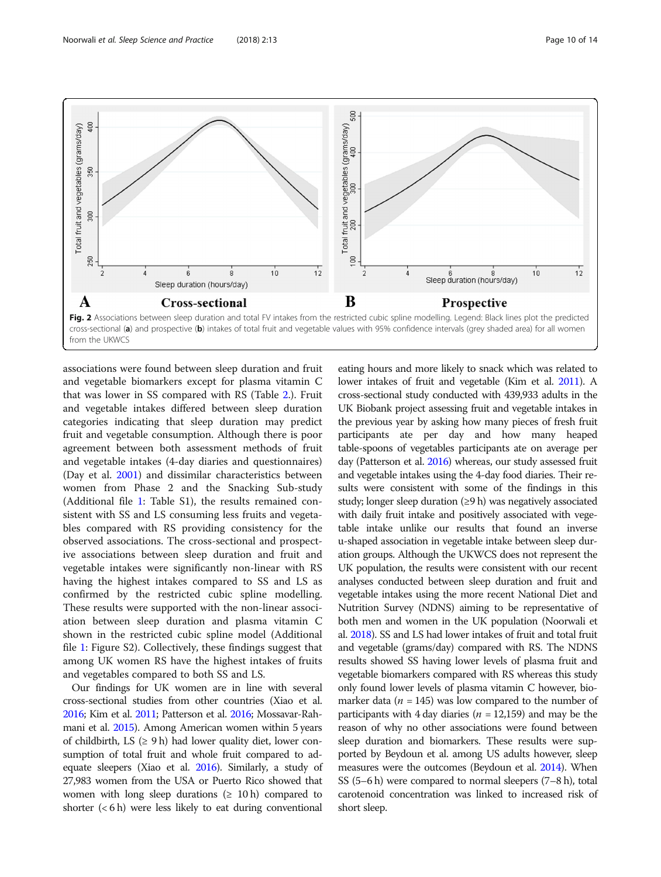<span id="page-9-0"></span>

associations were found between sleep duration and fruit and vegetable biomarkers except for plasma vitamin C that was lower in SS compared with RS (Table [2.](#page-6-0)). Fruit and vegetable intakes differed between sleep duration categories indicating that sleep duration may predict fruit and vegetable consumption. Although there is poor agreement between both assessment methods of fruit and vegetable intakes (4-day diaries and questionnaires) (Day et al. [2001\)](#page-12-0) and dissimilar characteristics between women from Phase 2 and the Snacking Sub-study (Additional file [1:](#page-11-0) Table S1), the results remained consistent with SS and LS consuming less fruits and vegetables compared with RS providing consistency for the observed associations. The cross-sectional and prospective associations between sleep duration and fruit and vegetable intakes were significantly non-linear with RS having the highest intakes compared to SS and LS as confirmed by the restricted cubic spline modelling. These results were supported with the non-linear association between sleep duration and plasma vitamin C shown in the restricted cubic spline model (Additional file [1](#page-11-0): Figure S2). Collectively, these findings suggest that among UK women RS have the highest intakes of fruits and vegetables compared to both SS and LS.

Our findings for UK women are in line with several cross-sectional studies from other countries (Xiao et al. [2016;](#page-13-0) Kim et al. [2011;](#page-12-0) Patterson et al. [2016](#page-13-0); Mossavar-Rahmani et al. [2015\)](#page-13-0). Among American women within 5 years of childbirth, LS  $(≥ 9 h)$  had lower quality diet, lower consumption of total fruit and whole fruit compared to adequate sleepers (Xiao et al. [2016](#page-13-0)). Similarly, a study of 27,983 women from the USA or Puerto Rico showed that women with long sleep durations ( $\geq 10$  h) compared to shorter  $(< 6 h)$  were less likely to eat during conventional

eating hours and more likely to snack which was related to lower intakes of fruit and vegetable (Kim et al. [2011](#page-12-0)). A cross-sectional study conducted with 439,933 adults in the UK Biobank project assessing fruit and vegetable intakes in the previous year by asking how many pieces of fresh fruit participants ate per day and how many heaped table-spoons of vegetables participants ate on average per day (Patterson et al. [2016](#page-13-0)) whereas, our study assessed fruit and vegetable intakes using the 4-day food diaries. Their results were consistent with some of the findings in this study; longer sleep duration (≥9 h) was negatively associated with daily fruit intake and positively associated with vegetable intake unlike our results that found an inverse u-shaped association in vegetable intake between sleep duration groups. Although the UKWCS does not represent the UK population, the results were consistent with our recent analyses conducted between sleep duration and fruit and vegetable intakes using the more recent National Diet and Nutrition Survey (NDNS) aiming to be representative of both men and women in the UK population (Noorwali et al. [2018\)](#page-13-0). SS and LS had lower intakes of fruit and total fruit and vegetable (grams/day) compared with RS. The NDNS results showed SS having lower levels of plasma fruit and vegetable biomarkers compared with RS whereas this study only found lower levels of plasma vitamin C however, biomarker data ( $n = 145$ ) was low compared to the number of participants with 4 day diaries ( $n = 12,159$ ) and may be the reason of why no other associations were found between sleep duration and biomarkers. These results were supported by Beydoun et al. among US adults however, sleep measures were the outcomes (Beydoun et al. [2014\)](#page-12-0). When SS (5–6 h) were compared to normal sleepers (7–8 h), total carotenoid concentration was linked to increased risk of short sleep.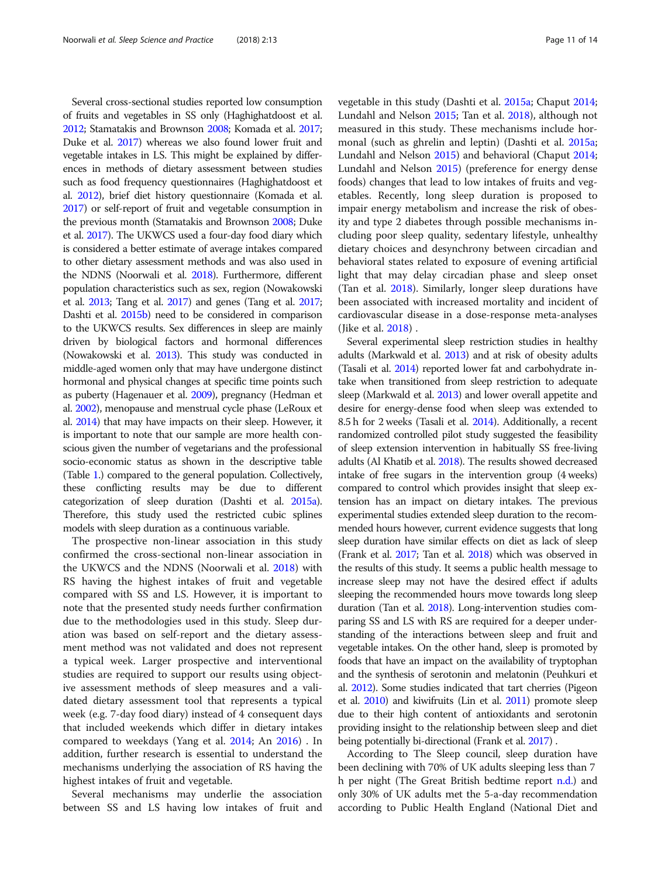Several cross-sectional studies reported low consumption of fruits and vegetables in SS only (Haghighatdoost et al. [2012;](#page-12-0) Stamatakis and Brownson [2008;](#page-13-0) Komada et al. [2017](#page-12-0); Duke et al. [2017\)](#page-12-0) whereas we also found lower fruit and vegetable intakes in LS. This might be explained by differences in methods of dietary assessment between studies such as food frequency questionnaires (Haghighatdoost et al. [2012\)](#page-12-0), brief diet history questionnaire (Komada et al. [2017\)](#page-12-0) or self-report of fruit and vegetable consumption in the previous month (Stamatakis and Brownson [2008](#page-13-0); Duke et al. [2017](#page-12-0)). The UKWCS used a four-day food diary which is considered a better estimate of average intakes compared to other dietary assessment methods and was also used in the NDNS (Noorwali et al. [2018\)](#page-13-0). Furthermore, different population characteristics such as sex, region (Nowakowski et al. [2013;](#page-13-0) Tang et al. [2017\)](#page-13-0) and genes (Tang et al. [2017](#page-13-0); Dashti et al. [2015b\)](#page-12-0) need to be considered in comparison to the UKWCS results. Sex differences in sleep are mainly driven by biological factors and hormonal differences (Nowakowski et al. [2013](#page-13-0)). This study was conducted in middle-aged women only that may have undergone distinct hormonal and physical changes at specific time points such as puberty (Hagenauer et al. [2009](#page-12-0)), pregnancy (Hedman et al. [2002\)](#page-12-0), menopause and menstrual cycle phase (LeRoux et al. [2014](#page-12-0)) that may have impacts on their sleep. However, it is important to note that our sample are more health conscious given the number of vegetarians and the professional socio-economic status as shown in the descriptive table (Table [1.](#page-5-0)) compared to the general population. Collectively, these conflicting results may be due to different categorization of sleep duration (Dashti et al. [2015a](#page-12-0)). Therefore, this study used the restricted cubic splines models with sleep duration as a continuous variable.

The prospective non-linear association in this study confirmed the cross-sectional non-linear association in the UKWCS and the NDNS (Noorwali et al. [2018\)](#page-13-0) with RS having the highest intakes of fruit and vegetable compared with SS and LS. However, it is important to note that the presented study needs further confirmation due to the methodologies used in this study. Sleep duration was based on self-report and the dietary assessment method was not validated and does not represent a typical week. Larger prospective and interventional studies are required to support our results using objective assessment methods of sleep measures and a validated dietary assessment tool that represents a typical week (e.g. 7-day food diary) instead of 4 consequent days that included weekends which differ in dietary intakes compared to weekdays (Yang et al. [2014;](#page-13-0) An [2016\)](#page-12-0) . In addition, further research is essential to understand the mechanisms underlying the association of RS having the highest intakes of fruit and vegetable.

Several mechanisms may underlie the association between SS and LS having low intakes of fruit and vegetable in this study (Dashti et al. [2015a;](#page-12-0) Chaput [2014](#page-12-0); Lundahl and Nelson [2015](#page-13-0); Tan et al. [2018](#page-13-0)), although not measured in this study. These mechanisms include hormonal (such as ghrelin and leptin) (Dashti et al. [2015a](#page-12-0); Lundahl and Nelson [2015](#page-13-0)) and behavioral (Chaput [2014](#page-12-0); Lundahl and Nelson [2015\)](#page-13-0) (preference for energy dense foods) changes that lead to low intakes of fruits and vegetables. Recently, long sleep duration is proposed to impair energy metabolism and increase the risk of obesity and type 2 diabetes through possible mechanisms including poor sleep quality, sedentary lifestyle, unhealthy dietary choices and desynchrony between circadian and behavioral states related to exposure of evening artificial light that may delay circadian phase and sleep onset (Tan et al. [2018\)](#page-13-0). Similarly, longer sleep durations have been associated with increased mortality and incident of cardiovascular disease in a dose-response meta-analyses (Jike et al. [2018](#page-12-0)) .

Several experimental sleep restriction studies in healthy adults (Markwald et al. [2013\)](#page-13-0) and at risk of obesity adults (Tasali et al. [2014](#page-13-0)) reported lower fat and carbohydrate intake when transitioned from sleep restriction to adequate sleep (Markwald et al. [2013](#page-13-0)) and lower overall appetite and desire for energy-dense food when sleep was extended to 8.5 h for 2 weeks (Tasali et al. [2014\)](#page-13-0). Additionally, a recent randomized controlled pilot study suggested the feasibility of sleep extension intervention in habitually SS free-living adults (Al Khatib et al. [2018\)](#page-12-0). The results showed decreased intake of free sugars in the intervention group (4 weeks) compared to control which provides insight that sleep extension has an impact on dietary intakes. The previous experimental studies extended sleep duration to the recommended hours however, current evidence suggests that long sleep duration have similar effects on diet as lack of sleep (Frank et al. [2017](#page-12-0); Tan et al. [2018\)](#page-13-0) which was observed in the results of this study. It seems a public health message to increase sleep may not have the desired effect if adults sleeping the recommended hours move towards long sleep duration (Tan et al. [2018](#page-13-0)). Long-intervention studies comparing SS and LS with RS are required for a deeper understanding of the interactions between sleep and fruit and vegetable intakes. On the other hand, sleep is promoted by foods that have an impact on the availability of tryptophan and the synthesis of serotonin and melatonin (Peuhkuri et al. [2012\)](#page-13-0). Some studies indicated that tart cherries (Pigeon et al. [2010](#page-13-0)) and kiwifruits (Lin et al. [2011\)](#page-12-0) promote sleep due to their high content of antioxidants and serotonin providing insight to the relationship between sleep and diet being potentially bi-directional (Frank et al. [2017\)](#page-12-0) .

According to The Sleep council, sleep duration have been declining with 70% of UK adults sleeping less than 7 h per night (The Great British bedtime report [n.d.](#page-13-0)) and only 30% of UK adults met the 5-a-day recommendation according to Public Health England (National Diet and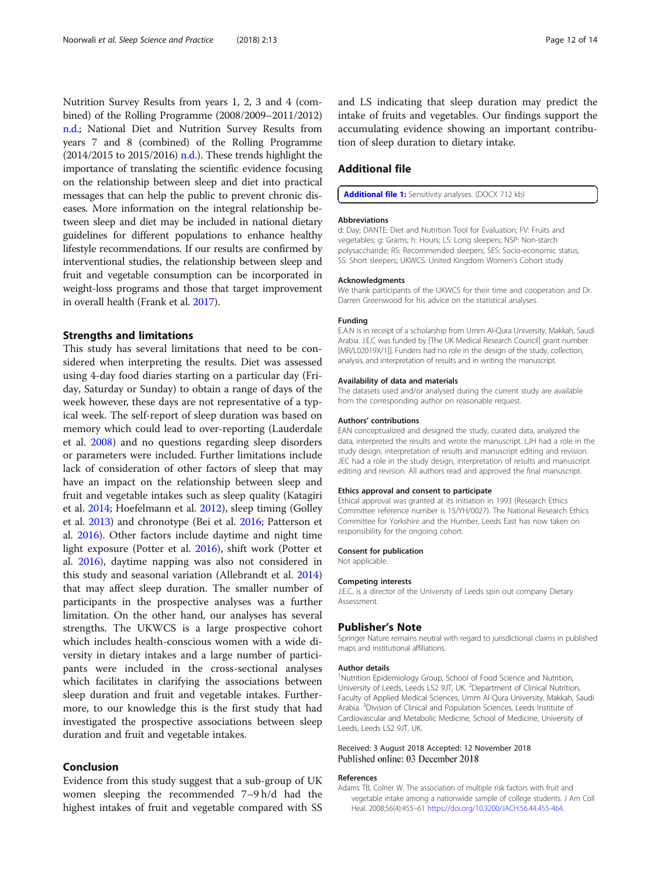<span id="page-11-0"></span>Nutrition Survey Results from years 1, 2, 3 and 4 (combined) of the Rolling Programme (2008/2009–2011/2012) [n.d.](#page-13-0); National Diet and Nutrition Survey Results from years 7 and 8 (combined) of the Rolling Programme (2014/2015 to 2015/2016) [n.d.\)](#page-13-0). These trends highlight the importance of translating the scientific evidence focusing on the relationship between sleep and diet into practical messages that can help the public to prevent chronic diseases. More information on the integral relationship between sleep and diet may be included in national dietary guidelines for different populations to enhance healthy lifestyle recommendations. If our results are confirmed by interventional studies, the relationship between sleep and fruit and vegetable consumption can be incorporated in weight-loss programs and those that target improvement in overall health (Frank et al. [2017](#page-12-0)).

### Strengths and limitations

This study has several limitations that need to be considered when interpreting the results. Diet was assessed using 4-day food diaries starting on a particular day (Friday, Saturday or Sunday) to obtain a range of days of the week however, these days are not representative of a typical week. The self-report of sleep duration was based on memory which could lead to over-reporting (Lauderdale et al. [2008](#page-12-0)) and no questions regarding sleep disorders or parameters were included. Further limitations include lack of consideration of other factors of sleep that may have an impact on the relationship between sleep and fruit and vegetable intakes such as sleep quality (Katagiri et al. [2014](#page-12-0); Hoefelmann et al. [2012\)](#page-12-0), sleep timing (Golley et al. [2013](#page-12-0)) and chronotype (Bei et al. [2016;](#page-12-0) Patterson et al. [2016](#page-13-0)). Other factors include daytime and night time light exposure (Potter et al. [2016\)](#page-13-0), shift work (Potter et al. [2016](#page-13-0)), daytime napping was also not considered in this study and seasonal variation (Allebrandt et al. [2014](#page-12-0)) that may affect sleep duration. The smaller number of participants in the prospective analyses was a further limitation. On the other hand, our analyses has several strengths. The UKWCS is a large prospective cohort which includes health-conscious women with a wide diversity in dietary intakes and a large number of participants were included in the cross-sectional analyses which facilitates in clarifying the associations between sleep duration and fruit and vegetable intakes. Furthermore, to our knowledge this is the first study that had investigated the prospective associations between sleep duration and fruit and vegetable intakes.

# Conclusion

Evidence from this study suggest that a sub-group of UK women sleeping the recommended 7–9 h/d had the highest intakes of fruit and vegetable compared with SS

and LS indicating that sleep duration may predict the intake of fruits and vegetables. Our findings support the accumulating evidence showing an important contribution of sleep duration to dietary intake.

# Additional file

[Additional file 1:](https://doi.org/10.1186/s41606-018-0032-0) Sensitivity analyses. (DOCX 712 kb)

### Abbreviations

d: Day; DANTE: Diet and Nutrition Tool for Evaluation; FV: Fruits and vegetables; g: Grams; h: Hours; LS: Long sleepers; NSP: Non-starch polysaccharide; RS: Recommended sleepers; SES: Socio-economic status; SS: Short sleepers; UKWCS: United Kingdom Women's Cohort study

#### Acknowledgments

We thank participants of the UKWCS for their time and cooperation and Dr. Darren Greenwood for his advice on the statistical analyses.

### Funding

E.A.N is in receipt of a scholarship from Umm Al-Qura University, Makkah, Saudi Arabia. J.E.C was funded by [The UK Medical Research Council] grant number [MR/L02019X/1]]. Funders had no role in the design of the study, collection, analysis, and interpretation of results and in writing the manuscript.

#### Availability of data and materials

The datasets used and/or analysed during the current study are available from the corresponding author on reasonable request.

### Authors' contributions

EAN conceptualized and designed the study, curated data, analyzed the data, interpreted the results and wrote the manuscript. LJH had a role in the study design, interpretation of results and manuscript editing and revision. JEC had a role in the study design, interpretation of results and manuscript editing and revision. All authors read and approved the final manuscript.

#### Ethics approval and consent to participate

Ethical approval was granted at its initiation in 1993 (Research Ethics Committee reference number is 15/YH/0027). The National Research Ethics Committee for Yorkshire and the Humber, Leeds East has now taken on responsibility for the ongoing cohort.

#### Consent for publication

Not applicable.

### Competing interests

J.E.C. is a director of the University of Leeds spin out company Dietary Assessment.

### Publisher's Note

Springer Nature remains neutral with regard to jurisdictional claims in published maps and institutional affiliations.

#### Author details

<sup>1</sup>Nutrition Epidemiology Group, School of Food Science and Nutrition University of Leeds, Leeds LS2 9JT, UK. <sup>2</sup>Department of Clinical Nutrition, Faculty of Applied Medical Sciences, Umm Al-Qura University, Makkah, Saudi Arabia. <sup>3</sup>Division of Clinical and Population Sciences, Leeds Institute of Cardiovascular and Metabolic Medicine, School of Medicine, University of Leeds, Leeds LS2 9JT, UK.

# Received: 3 August 2018 Accepted: 12 November 2018 Published online: 03 December 2018

### References

Adams TB, Colner W. The association of multiple risk factors with fruit and vegetable intake among a nationwide sample of college students. J Am Coll Heal. 2008;56(4):455–61 <https://doi.org/10.3200/JACH.56.44.455-464>.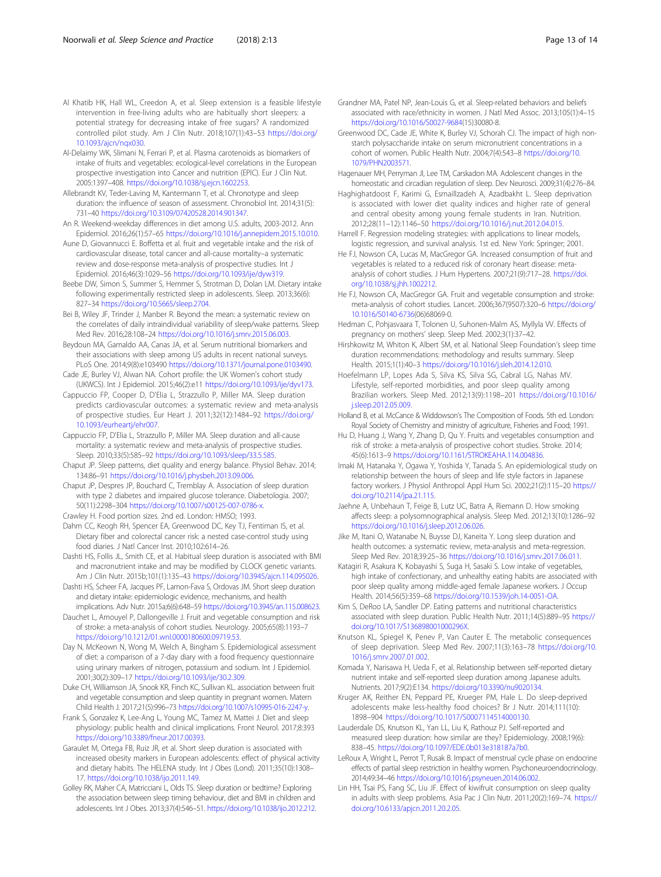- <span id="page-12-0"></span>Al Khatib HK, Hall WL, Creedon A, et al. Sleep extension is a feasible lifestyle intervention in free-living adults who are habitually short sleepers: a potential strategy for decreasing intake of free sugars? A randomized controlled pilot study. Am J Clin Nutr. 2018;107(1):43–53 [https://doi.org/](https://doi.org/10.1093/ajcn/nqx030) [10.1093/ajcn/nqx030](https://doi.org/10.1093/ajcn/nqx030).
- Al-Delaimy WK, Slimani N, Ferrari P, et al. Plasma carotenoids as biomarkers of intake of fruits and vegetables: ecological-level correlations in the European prospective investigation into Cancer and nutrition (EPIC). Eur J Clin Nut. 2005:1397–408. [https://doi.org/10.1038/sj.ejcn.1602253.](https://doi.org/10.1038/sj.ejcn.1602253)
- Allebrandt KV, Teder-Laving M, Kantermann T, et al. Chronotype and sleep duration: the influence of season of assessment. Chronobiol Int. 2014;31(5): 731–40 <https://doi.org/10.3109/07420528.2014.901347>.
- An R. Weekend-weekday differences in diet among U.S. adults, 2003-2012. Ann Epidemiol. 2016;26(1):57–65 <https://doi.org/10.1016/j.annepidem.2015.10.010>.
- Aune D, Giovannucci E. Boffetta et al. fruit and vegetable intake and the risk of cardiovascular disease, total cancer and all-cause mortality–a systematic review and dose-response meta-analysis of prospective studies. Int J Epidemiol. 2016;46(3):1029–56 [https://doi.org/10.1093/ije/dyw319.](https://doi.org/10.1093/ije/dyw319)
- Beebe DW, Simon S, Summer S, Hemmer S, Strotman D, Dolan LM. Dietary intake following experimentally restricted sleep in adolescents. Sleep. 2013;36(6): 827–34 <https://doi.org/10.5665/sleep.2704>.
- Bei B, Wiley JF, Trinder J, Manber R. Beyond the mean: a systematic review on the correlates of daily intraindividual variability of sleep/wake patterns. Sleep Med Rev. 2016;28:108–24 [https://doi.org/10.1016/j.smrv.2015.06.003.](https://doi.org/10.1016/j.smrv.2015.06.003)
- Beydoun MA, Gamaldo AA, Canas JA, et al. Serum nutritional biomarkers and their associations with sleep among US adults in recent national surveys. PLoS One. 2014;9(8):e103490 <https://doi.org/10.1371/journal.pone.0103490>.
- Cade JE, Burley VJ, Alwan NA. Cohort profile: the UK Women's cohort study (UKWCS). Int J Epidemiol. 2015;46(2):e11 <https://doi.org/10.1093/ije/dyv173>.
- Cappuccio FP, Cooper D, D'Elia L, Strazzullo P, Miller MA. Sleep duration predicts cardiovascular outcomes: a systematic review and meta-analysis of prospective studies. Eur Heart J. 2011;32(12):1484–92 [https://doi.org/](https://doi.org/10.1093/eurheartj/ehr007) [10.1093/eurheartj/ehr007](https://doi.org/10.1093/eurheartj/ehr007).
- Cappuccio FP, D'Elia L, Strazzullo P, Miller MA. Sleep duration and all-cause mortality: a systematic review and meta-analysis of prospective studies. Sleep. 2010;33(5):585–92 <https://doi.org/10.1093/sleep/33.5.585>.
- Chaput JP. Sleep patterns, diet quality and energy balance. Physiol Behav. 2014; 134:86–91 <https://doi.org/10.1016/j.physbeh.2013.09.006>.
- Chaput JP, Despres JP, Bouchard C, Tremblay A. Association of sleep duration with type 2 diabetes and impaired glucose tolerance. Diabetologia. 2007; 50(11):2298–304 [https://doi.org/10.1007/s00125-007-0786-x.](https://doi.org/10.1007/s00125-007-0786-x)
- Crawley H. Food portion sizes. 2nd ed. London: HMSO; 1993.
- Dahm CC, Keogh RH, Spencer EA, Greenwood DC, Key TJ, Fentiman IS, et al. Dietary fiber and colorectal cancer risk: a nested case-control study using food diaries. J Natl Cancer Inst. 2010;102:614–26.
- Dashti HS, Follis JL, Smith CE, et al. Habitual sleep duration is associated with BMI and macronutrient intake and may be modified by CLOCK genetic variants. Am J Clin Nutr. 2015b;101(1):135–43 [https://doi.org/10.3945/ajcn.114.095026.](https://doi.org/10.3945/ajcn.114.095026)
- Dashti HS, Scheer FA, Jacques PF, Lamon-Fava S, Ordovas JM. Short sleep duration and dietary intake: epidemiologic evidence, mechanisms, and health
- implications. Adv Nutr. 2015a;6(6):648–59 <https://doi.org/10.3945/an.115.008623>. Dauchet L, Amouyel P, Dallongeville J. Fruit and vegetable consumption and risk of stroke: a meta-analysis of cohort studies. Neurology. 2005;65(8):1193–7
- [https://doi.org/10.1212/01.wnl.0000180600.09719.53.](https://doi.org/10.1212/01.wnl.0000180600.09719.53) Day N, McKeown N, Wong M, Welch A, Bingham S. Epidemiological assessment of diet: a comparison of a 7-day diary with a food frequency questionnaire
- using urinary markers of nitrogen, potassium and sodium. Int J Epidemiol. 2001;30(2):309–17 <https://doi.org/10.1093/ije/30.2.309>.
- Duke CH, Williamson JA, Snook KR, Finch KC, Sullivan KL. association between fruit and vegetable consumption and sleep quantity in pregnant women. Matern Child Health J. 2017;21(5):996–73 <https://doi.org/10.1007/s10995-016-2247-y>.
- Frank S, Gonzalez K, Lee-Ang L, Young MC, Tamez M, Mattei J. Diet and sleep physiology: public health and clinical implications. Front Neurol. 2017;8:393 [https://doi.org/10.3389/fneur.2017.00393.](https://doi.org/10.3389/fneur.2017.00393)
- Garaulet M, Ortega FB, Ruiz JR, et al. Short sleep duration is associated with increased obesity markers in European adolescents: effect of physical activity and dietary habits. The HELENA study. Int J Obes (Lond). 2011;35(10):1308– 17. <https://doi.org/10.1038/ijo.2011.149>.
- Golley RK, Maher CA, Matricciani L, Olds TS. Sleep duration or bedtime? Exploring the association between sleep timing behaviour, diet and BMI in children and adolescents. Int J Obes. 2013;37(4):546–51. [https://doi.org/10.1038/ijo.2012.212.](https://doi.org/10.1038/ijo.2012.212)
- Grandner MA, Patel NP, Jean-Louis G, et al. Sleep-related behaviors and beliefs associated with race/ethnicity in women. J Natl Med Assoc. 2013;105(1):4–15 [https://doi.org/10.1016/S0027-9684\(](https://doi.org/10.1016/S0027-9684)15)30080-8.
- Greenwood DC, Cade JE, White K, Burley VJ, Schorah CJ. The impact of high nonstarch polysaccharide intake on serum micronutrient concentrations in a cohort of women. Public Health Nutr. 2004;7(4):543–8 [https://doi.org/10.](https://doi.org/10.1079/PHN2003571) [1079/PHN2003571](https://doi.org/10.1079/PHN2003571).
- Hagenauer MH, Perryman JI, Lee TM, Carskadon MA. Adolescent changes in the homeostatic and circadian regulation of sleep. Dev Neurosci. 2009;31(4):276–84.
- Haghighatdoost F, Karimi G, Esmaillzadeh A, Azadbakht L. Sleep deprivation is associated with lower diet quality indices and higher rate of general and central obesity among young female students in Iran. Nutrition. 2012;28(11–12):1146–50 [https://doi.org/10.1016/j.nut.2012.04.015.](https://doi.org/10.1016/j.nut.2012.04.015)
- Harrell F. Regression modeling strategies: with applications to linear models, logistic regression, and survival analysis. 1st ed. New York: Springer; 2001.
- He FJ, Nowson CA, Lucas M, MacGregor GA. Increased consumption of fruit and vegetables is related to a reduced risk of coronary heart disease: metaanalysis of cohort studies. J Hum Hypertens. 2007;21(9):717–28. [https://doi.](https://doi.org/10.1038/sj.jhh.1002212) [org/10.1038/sj.jhh.1002212](https://doi.org/10.1038/sj.jhh.1002212).
- He FJ, Nowson CA, MacGregor GA. Fruit and vegetable consumption and stroke: meta-analysis of cohort studies. Lancet. 2006;367(9507):320–6 [https://doi.org/](https://doi.org/10.1016/S0140-6736) [10.1016/S0140-6736](https://doi.org/10.1016/S0140-6736)(06)68069-0.
- Hedman C, Pohjasvaara T, Tolonen U, Suhonen-Malm AS, Myllyla VV. Effects of pregnancy on mothers' sleep. Sleep Med. 2002;3(1):37–42.
- Hirshkowitz M, Whiton K, Albert SM, et al. National Sleep Foundation's sleep time duration recommendations: methodology and results summary. Sleep Health. 2015;1(1):40–3 <https://doi.org/10.1016/j.sleh.2014.12.010>.
- Hoefelmann LP, Lopes Ada S, Silva KS, Silva SG, Cabral LG, Nahas MV. Lifestyle, self-reported morbidities, and poor sleep quality among Brazilian workers. Sleep Med. 2012;13(9):1198–201 [https://doi.org/10.1016/](https://doi.org/10.1016/j.sleep.2012.05.009) [j.sleep.2012.05.009](https://doi.org/10.1016/j.sleep.2012.05.009).
- Holland B, et al. McCance & Widdowson's The Composition of Foods. 5th ed. London: Royal Society of Chemistry and ministry of agriculture, Fisheries and Food; 1991.
- Hu D, Huang J, Wang Y, Zhang D, Qu Y. Fruits and vegetables consumption and risk of stroke: a meta-analysis of prospective cohort studies. Stroke. 2014; 45(6):1613–9 <https://doi.org/10.1161/STROKEAHA.114.004836>.
- Imaki M, Hatanaka Y, Ogawa Y, Yoshida Y, Tanada S. An epidemiological study on relationship between the hours of sleep and life style factors in Japanese factory workers. J Physiol Anthropol Appl Hum Sci. 2002;21(2):115–20 [https://](https://doi.org/10.2114/jpa.21.115) [doi.org/10.2114/jpa.21.115](https://doi.org/10.2114/jpa.21.115).
- Jaehne A, Unbehaun T, Feige B, Lutz UC, Batra A, Riemann D. How smoking affects sleep: a polysomnographical analysis. Sleep Med. 2012;13(10):1286–92 [https://doi.org/10.1016/j.sleep.2012.06.026.](https://doi.org/10.1016/j.sleep.2012.06.026)
- Jike M, Itani O, Watanabe N, Buysse DJ, Kaneita Y. Long sleep duration and health outcomes: a systematic review, meta-analysis and meta-regression. Sleep Med Rev. 2018;39:25–36 [https://doi.org/10.1016/j.smrv.2017.06.011.](https://doi.org/10.1016/j.smrv.2017.06.011)
- Katagiri R, Asakura K, Kobayashi S, Suga H, Sasaki S. Low intake of vegetables, high intake of confectionary, and unhealthy eating habits are associated with poor sleep quality among middle-aged female Japanese workers. J Occup Health. 2014;56(5):359–68 <https://doi.org/10.1539/joh.14-0051-OA>.
- Kim S, DeRoo LA, Sandler DP. Eating patterns and nutritional characteristics associated with sleep duration. Public Health Nutr. 2011;14(5):889–95 [https://](https://doi.org/10.1017/S136898001000296X) [doi.org/10.1017/S136898001000296X.](https://doi.org/10.1017/S136898001000296X)
- Knutson KL, Spiegel K, Penev P, Van Cauter E. The metabolic consequences of sleep deprivation. Sleep Med Rev. 2007;11(3):163–78 [https://doi.org/10.](https://doi.org/10.1016/j.smrv.2007.01.002) [1016/j.smrv.2007.01.002.](https://doi.org/10.1016/j.smrv.2007.01.002)
- Komada Y, Narisawa H, Ueda F, et al. Relationship between self-reported dietary nutrient intake and self-reported sleep duration among Japanese adults. Nutrients. 2017;9(2):E134. [https://doi.org/10.3390/nu9020134.](https://doi.org/10.3390/nu9020134)
- Kruger AK, Reither EN, Peppard PE, Krueger PM, Hale L. Do sleep-deprived adolescents make less-healthy food choices? Br J Nutr. 2014;111(10): 1898–904 [https://doi.org/10.1017/S0007114514000130.](https://doi.org/10.1017/S0007114514000130)
- Lauderdale DS, Knutson KL, Yan LL, Liu K, Rathouz PJ. Self-reported and measured sleep duration: how similar are they? Epidemiology. 2008;19(6): 838–45. <https://doi.org/10.1097/EDE.0b013e318187a7b0>.
- LeRoux A, Wright L, Perrot T, Rusak B. Impact of menstrual cycle phase on endocrine effects of partial sleep restriction in healthy women. Psychoneuroendocrinology. 2014;49:34–46 <https://doi.org/10.1016/j.psyneuen.2014.06.002>.
- Lin HH, Tsai PS, Fang SC, Liu JF. Effect of kiwifruit consumption on sleep quality in adults with sleep problems. Asia Pac J Clin Nutr. 2011;20(2):169–74. [https://](https://doi.org/10.6133/apjcn.2011.20.2.05) [doi.org/10.6133/apjcn.2011.20.2.05](https://doi.org/10.6133/apjcn.2011.20.2.05).